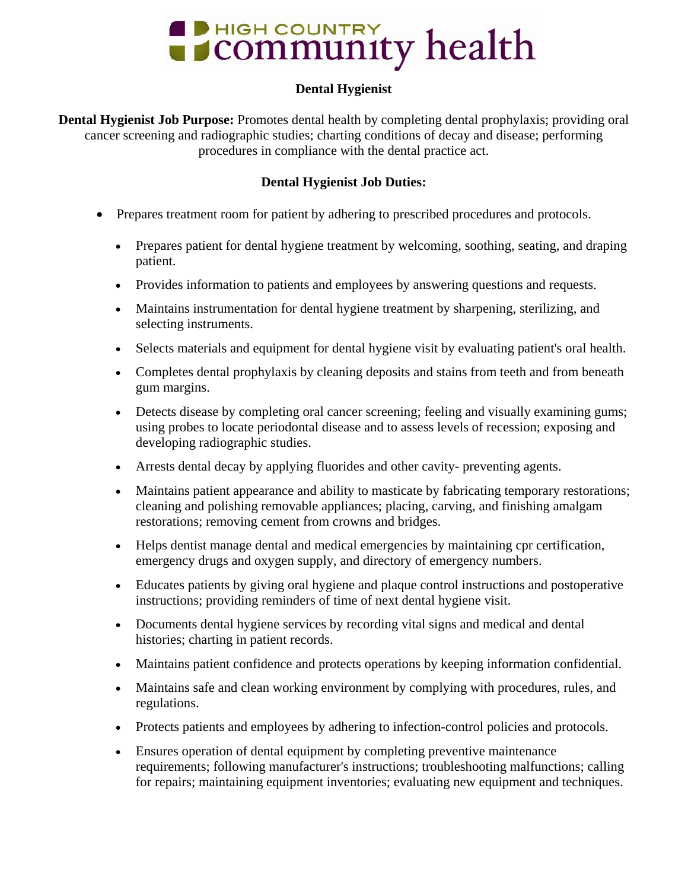# **DHIGH COUNTRY Community** health

### **Dental Hygienist**

**Dental Hygienist Job Purpose:** Promotes dental health by completing dental prophylaxis; providing oral cancer screening and radiographic studies; charting conditions of decay and disease; performing procedures in compliance with the dental practice act.

### **Dental Hygienist Job Duties:**

- Prepares treatment room for patient by adhering to prescribed procedures and protocols.
	- Prepares patient for dental hygiene treatment by welcoming, soothing, seating, and draping patient.
	- Provides information to patients and employees by answering questions and requests.
	- Maintains instrumentation for dental hygiene treatment by sharpening, sterilizing, and selecting instruments.
	- Selects materials and equipment for dental hygiene visit by evaluating patient's oral health.
	- Completes dental prophylaxis by cleaning deposits and stains from teeth and from beneath gum margins.
	- Detects disease by completing oral cancer screening; feeling and visually examining gums; using probes to locate periodontal disease and to assess levels of recession; exposing and developing radiographic studies.
	- Arrests dental decay by applying fluorides and other cavity- preventing agents.
	- Maintains patient appearance and ability to masticate by fabricating temporary restorations; cleaning and polishing removable appliances; placing, carving, and finishing amalgam restorations; removing cement from crowns and bridges.
	- Helps dentist manage dental and medical emergencies by maintaining cpr certification, emergency drugs and oxygen supply, and directory of emergency numbers.
	- Educates patients by giving oral hygiene and plaque control instructions and postoperative instructions; providing reminders of time of next dental hygiene visit.
	- Documents dental hygiene services by recording vital signs and medical and dental histories; charting in patient records.
	- Maintains patient confidence and protects operations by keeping information confidential.
	- Maintains safe and clean working environment by complying with procedures, rules, and regulations.
	- Protects patients and employees by adhering to infection-control policies and protocols.
	- Ensures operation of dental equipment by completing preventive maintenance requirements; following manufacturer's instructions; troubleshooting malfunctions; calling for repairs; maintaining equipment inventories; evaluating new equipment and techniques.